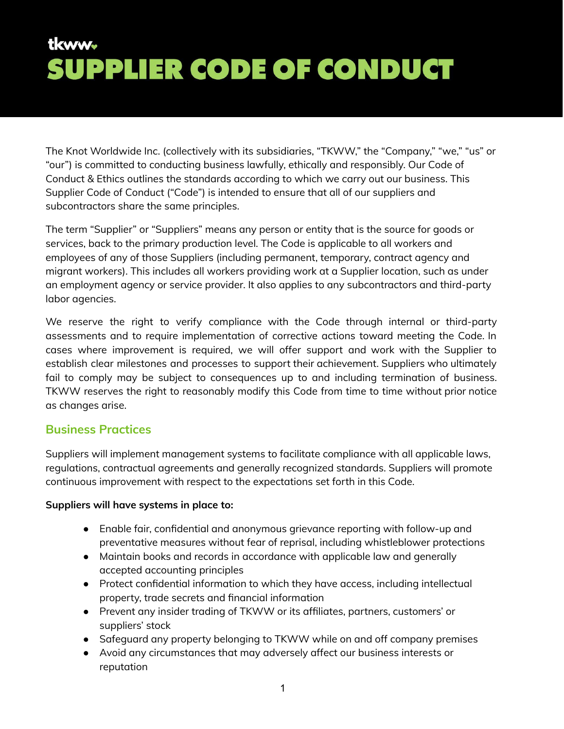The Knot Worldwide Inc. (collectively with its subsidiaries, "TKWW," the "Company," "we," "us" or "our") is committed to conducting business lawfully, ethically and responsibly. Our Code of Conduct & Ethics outlines the standards according to which we carry out our business. This Supplier Code of Conduct ("Code") is intended to ensure that all of our suppliers and subcontractors share the same principles.

The term "Supplier" or "Suppliers" means any person or entity that is the source for goods or services, back to the primary production level. The Code is applicable to all workers and employees of any of those Suppliers (including permanent, temporary, contract agency and migrant workers). This includes all workers providing work at a Supplier location, such as under an employment agency or service provider. It also applies to any subcontractors and third-party labor agencies.

We reserve the right to verify compliance with the Code through internal or third-party assessments and to require implementation of corrective actions toward meeting the Code. In cases where improvement is required, we will offer support and work with the Supplier to establish clear milestones and processes to support their achievement. Suppliers who ultimately fail to comply may be subject to consequences up to and including termination of business. TKWW reserves the right to reasonably modify this Code from time to time without prior notice as changes arise.

#### **Business Practices**

Suppliers will implement management systems to facilitate compliance with all applicable laws, regulations, contractual agreements and generally recognized standards. Suppliers will promote continuous improvement with respect to the expectations set forth in this Code.

#### **Suppliers will have systems in place to:**

- Enable fair, confidential and anonymous grievance reporting with follow-up and preventative measures without fear of reprisal, including whistleblower protections
- Maintain books and records in accordance with applicable law and generally accepted accounting principles
- Protect confidential information to which they have access, including intellectual property, trade secrets and financial information
- Prevent any insider trading of TKWW or its affiliates, partners, customers' or suppliers' stock
- Safeguard any property belonging to TKWW while on and off company premises
- Avoid any circumstances that may adversely affect our business interests or reputation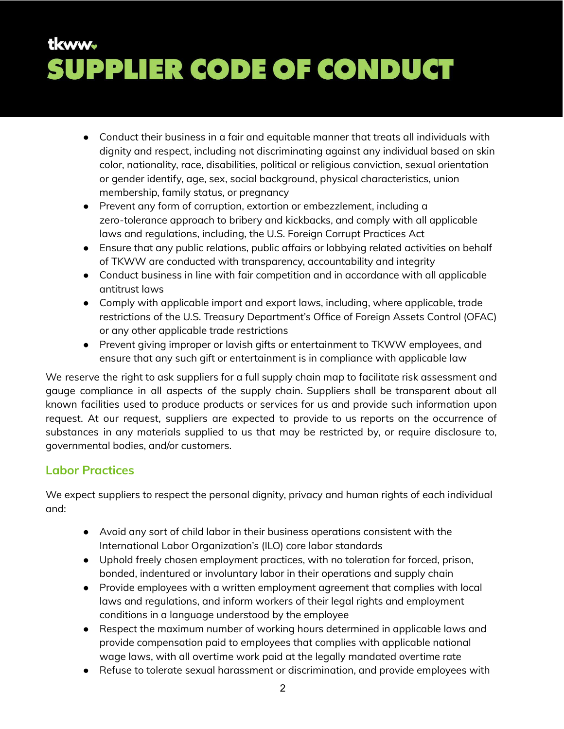- Conduct their business in a fair and equitable manner that treats all individuals with dignity and respect, including not discriminating against any individual based on skin color, nationality, race, disabilities, political or religious conviction, sexual orientation or gender identify, age, sex, social background, physical characteristics, union membership, family status, or pregnancy
- Prevent any form of corruption, extortion or embezzlement, including a zero-tolerance approach to bribery and kickbacks, and comply with all applicable laws and regulations, including, the U.S. Foreign Corrupt Practices Act
- Ensure that any public relations, public affairs or lobbying related activities on behalf of TKWW are conducted with transparency, accountability and integrity
- Conduct business in line with fair competition and in accordance with all applicable antitrust laws
- Comply with applicable import and export laws, including, where applicable, trade restrictions of the U.S. Treasury Department's Office of Foreign Assets Control (OFAC) or any other applicable trade restrictions
- Prevent giving improper or lavish gifts or entertainment to TKWW employees, and ensure that any such gift or entertainment is in compliance with applicable law

We reserve the right to ask suppliers for a full supply chain map to facilitate risk assessment and gauge compliance in all aspects of the supply chain. Suppliers shall be transparent about all known facilities used to produce products or services for us and provide such information upon request. At our request, suppliers are expected to provide to us reports on the occurrence of substances in any materials supplied to us that may be restricted by, or require disclosure to, governmental bodies, and/or customers.

### **Labor Practices**

We expect suppliers to respect the personal dignity, privacy and human rights of each individual and:

- Avoid any sort of child labor in their business operations consistent with the International Labor Organization's (ILO) core labor standards
- Uphold freely chosen employment practices, with no toleration for forced, prison, bonded, indentured or involuntary labor in their operations and supply chain
- Provide employees with a written employment agreement that complies with local laws and regulations, and inform workers of their legal rights and employment conditions in a language understood by the employee
- Respect the maximum number of working hours determined in applicable laws and provide compensation paid to employees that complies with applicable national wage laws, with all overtime work paid at the legally mandated overtime rate
- Refuse to tolerate sexual harassment or discrimination, and provide employees with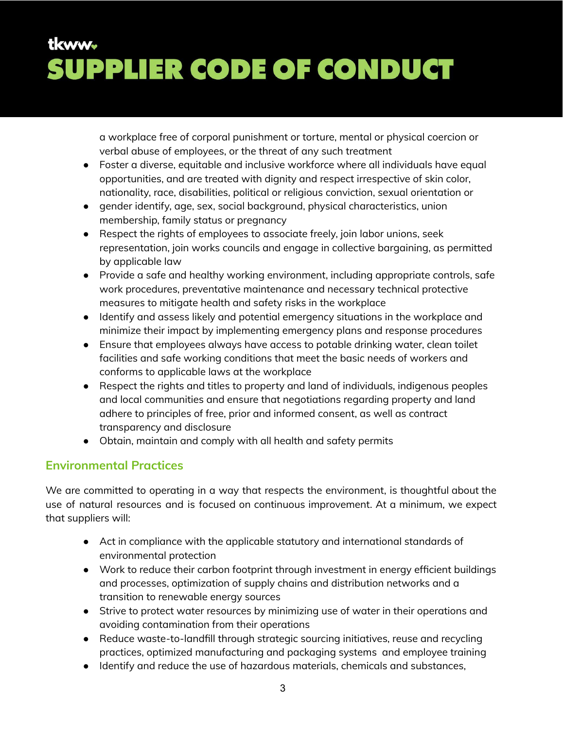a workplace free of corporal punishment or torture, mental or physical coercion or verbal abuse of employees, or the threat of any such treatment

- Foster a diverse, equitable and inclusive workforce where all individuals have equal opportunities, and are treated with dignity and respect irrespective of skin color, nationality, race, disabilities, political or religious conviction, sexual orientation or
- gender identify, age, sex, social background, physical characteristics, union membership, family status or pregnancy
- Respect the rights of employees to associate freely, join labor unions, seek representation, join works councils and engage in collective bargaining, as permitted by applicable law
- Provide a safe and healthy working environment, including appropriate controls, safe work procedures, preventative maintenance and necessary technical protective measures to mitigate health and safety risks in the workplace
- Identify and assess likely and potential emergency situations in the workplace and minimize their impact by implementing emergency plans and response procedures
- Ensure that employees always have access to potable drinking water, clean toilet facilities and safe working conditions that meet the basic needs of workers and conforms to applicable laws at the workplace
- Respect the rights and titles to property and land of individuals, indigenous peoples and local communities and ensure that negotiations regarding property and land adhere to principles of free, prior and informed consent, as well as contract transparency and disclosure
- Obtain, maintain and comply with all health and safety permits

### **Environmental Practices**

We are committed to operating in a way that respects the environment, is thoughtful about the use of natural resources and is focused on continuous improvement. At a minimum, we expect that suppliers will:

- Act in compliance with the applicable statutory and international standards of environmental protection
- Work to reduce their carbon footprint through investment in energy efficient buildings and processes, optimization of supply chains and distribution networks and a transition to renewable energy sources
- Strive to protect water resources by minimizing use of water in their operations and avoiding contamination from their operations
- Reduce waste-to-landfill through strategic sourcing initiatives, reuse and recycling practices, optimized manufacturing and packaging systems and employee training
- Identify and reduce the use of hazardous materials, chemicals and substances,